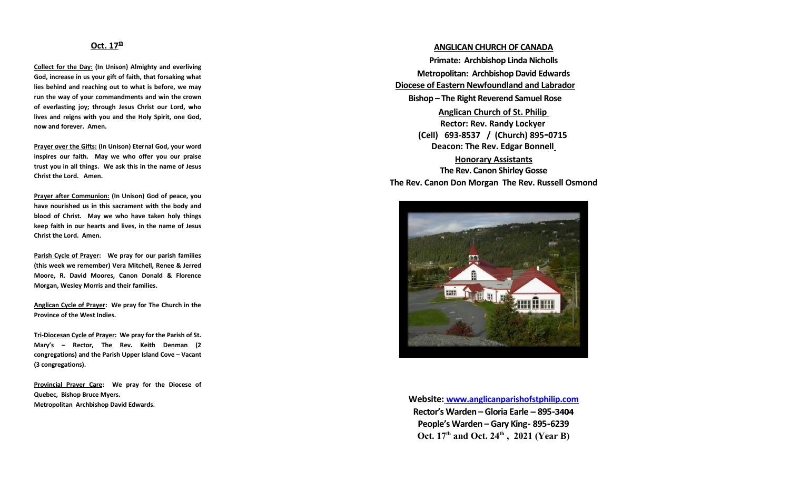#### **Oct. 17th**

**Collect for the Day: (In Unison) Almighty and everliving God, increase in us your gift of faith, that forsaking what lies behind and reaching out to what is before, we may run the way of your commandments and win the crown of everlasting joy; through Jesus Christ our Lord, who lives and reigns with you and the Holy Spirit, one God, now and forever. Amen.**

**Prayer over the Gifts: (In Unison) Eternal God, your word inspires our faith. May we who offer you our praise trust you in all things. We ask this in the name of Jesus Christ the Lord. Amen.**

**Prayer after Communion: (In Unison) God of peace, you have nourished us in this sacrament with the body and blood of Christ. May we who have taken holy things keep faith in our hearts and lives, in the name of Jesus Christ the Lord. Amen.**

**Parish Cycle of Prayer: We pray for our parish families (this week we remember) Vera Mitchell, Renee & Jerred Moore, R. David Moores, Canon Donald & Florence Morgan, Wesley Morris and their families.**

**Anglican Cycle of Prayer: We pray for The Church in the Province of the West Indies.**

 **Tri -Diocesan Cycle of Prayer: We pray for the Parish of St. Mary's – Rector, The Rev. Keith Denman (2 congregations) and the Parish Upper Island Cove – Vacant (3 congregations).**

**Provincial Prayer Care: We pray for the Diocese of Quebec, Bishop Bruce Myers. Metropolitan Archbishop David Edwards.**

# **ANGLICAN CHURCH OF CANADA Primate: Archbishop Linda Nicholls Metropolitan: Archbishop David Edwards Diocese of Eastern Newfoundland and Labrador Bishop – The Right Reverend Samuel Rose Anglican Church of St. Philip Rector: Rev. Randy Lockyer (Cell) 693-8537 / (Church) 895-0715 Deacon: The Rev. Edgar Bonnell Honorary Assistants The Rev. Canon Shirley Gosse The Rev. Canon Don Morgan The Rev. Russell Osmond**



**Website: [www.anglicanparishofstphilip.com](http://www.anglicanparishofstphilip.com/)  Rector's Warden – Gloria Earle – 895-3404 People's Warden – Gary King- 895-6239 Oct. 17th and Oct. 24th , 2021 (Year B)**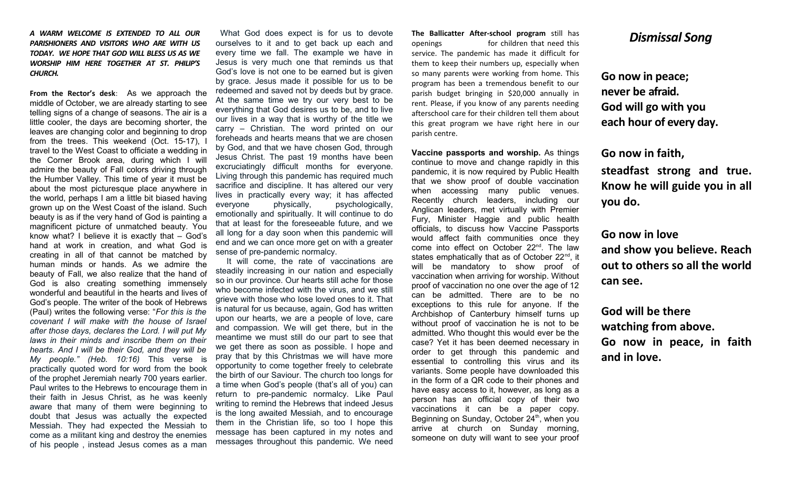*A WARM WELCOME IS EXTENDED TO ALL OUR PARISHIONERS AND VISITORS WHO ARE WITH US TODAY. WE HOPE THAT GOD WILL BLESS US AS WE WORSHIP HIM HERE TOGETHER AT ST. PHILIP'S CHURCH.*

**From the Rector's desk**: As we approach the middle of October, we are already starting to see telling signs of a change of seasons. The air is a little cooler, the days are becoming shorter, the leaves are changing color and beginning to drop from the trees. This weekend (Oct. 15-17), travel to the West Coast to officiate a wedding in the Corner Brook area, during which I will admire the beauty of Fall colors driving through the Humber Valley. This time of year it must be about the most picturesque place anywhere in the world, perhaps I am a little bit biased having grown up on the West Coast of the island. Such beauty is as if the very hand of God is painting a magnificent picture of unmatched beauty. You know what? I believe it is exactly that – God's hand at work in creation, and what God is creating in all of that cannot be matched by human minds or hands. As we admire the beauty of Fall, we also realize that the hand of God is also creating something immensely wonderful and beautiful in the hearts and lives of God's people. The writer of the book of Hebrews (Paul) writes the following verse: "*For this is the covenant I will make with the house of Israel after those days, declares the Lord. I will put My laws in their minds and inscribe them on their hearts. And I will be their God, and they will be My people." (Heb. 10:16)* This verse is practically quoted word for word from the book of the prophet Jeremiah nearly 700 years earlier. Paul writes to the Hebrews to encourage them in their faith in Jesus Christ, as he was keenly aware that many of them were beginning to doubt that Jesus was actually the expected Messiah. They had expected the Messiah to come as a militant king and destroy the enemies of his people , instead Jesus comes as a man

What God does expect is for us to devote ourselves to it and to get back up each and every time we fall. The example we have in Jesus is very much one that reminds us that God's love is not one to be earned but is given by grace. Jesus made it possible for us to be redeemed and saved not by deeds but by grace. At the same time we try our very best to be everything that God desires us to be, and to live our lives in a way that is worthy of the title we carry – Christian. The word printed on our foreheads and hearts means that we are chosen by God, and that we have chosen God, through Jesus Christ. The past 19 months have been excruciatingly difficult months for everyone. Living through this pandemic has required much sacrifice and discipline. It has altered our very lives in practically every way; it has affected everyone physically, psychologically, emotionally and spiritually. It will continue to do that at least for the foreseeable future, and we all long for a day soon when this pandemic will end and we can once more get on with a greater sense of pre-pandemic normalcy.

 It will come, the rate of vaccinations are steadily increasing in our nation and especially so in our province. Our hearts still ache for those who become infected with the virus, and we still grieve with those who lose loved ones to it. That is natural for us because, again, God has written upon our hearts, we are a people of love, care and compassion. We will get there, but in the meantime we must still do our part to see that we get there as soon as possible. I hope and pray that by this Christmas we will have more opportunity to come together freely to celebrate the birth of our Saviour. The church too longs for a time when God's people (that's all of you) can return to pre-pandemic normalcy. Like Paul writing to remind the Hebrews that indeed Jesus is the long awaited Messiah, and to encourage them in the Christian life, so too I hope this message has been captured in my notes and messages throughout this pandemic. We need

**The Ballicatter After-school program** still has openings for children that need this service. The pandemic has made it difficult for them to keep their numbers up, especially when so many parents were working from home. This program has been a tremendous benefit to our parish budget bringing in \$20,000 annually in rent. Please, if you know of any parents needing afterschool care for their children tell them about this great program we have right here in our parish centre.

**Vaccine passports and worship.** As things continue to move and change rapidly in this pandemic, it is now required by Public Health that we show proof of double vaccination when accessing many public venues. Recently church leaders, including our Anglican leaders, met virtually with Premier Fury, Minister Haggie and public health officials, to discuss how Vaccine Passports would affect faith communities once they come into effect on October 22<sup>nd</sup>. The law states emphatically that as of October 22<sup>nd</sup>, it will be mandatory to show proof of vaccination when arriving for worship. Without proof of vaccination no one over the age of 12 can be admitted. There are to be no exceptions to this rule for anyone. If the Archbishop of Canterbury himself turns up without proof of vaccination he is not to be admitted. Who thought this would ever be the case? Yet it has been deemed necessary in order to get through this pandemic and essential to controlling this virus and its variants. Some people have downloaded this in the form of a QR code to their phones and have easy access to it, however, as long as a person has an official copy of their two vaccinations it can be a paper copy. Beginning on Sunday, October  $24<sup>th</sup>$ , when you arrive at church on Sunday morning, someone on duty will want to see your proof

# *Dismissal Song*

**Go now in peace; never be afraid. God will go with you each hour of every day.**

**Go now in faith,** 

**steadfast strong and true. Know he will guide you in all you do.**

# **Go now in love and show you believe. Reach out to others so all the world can see.**

**God will be there watching from above. Go now in peace, in faith and in love.**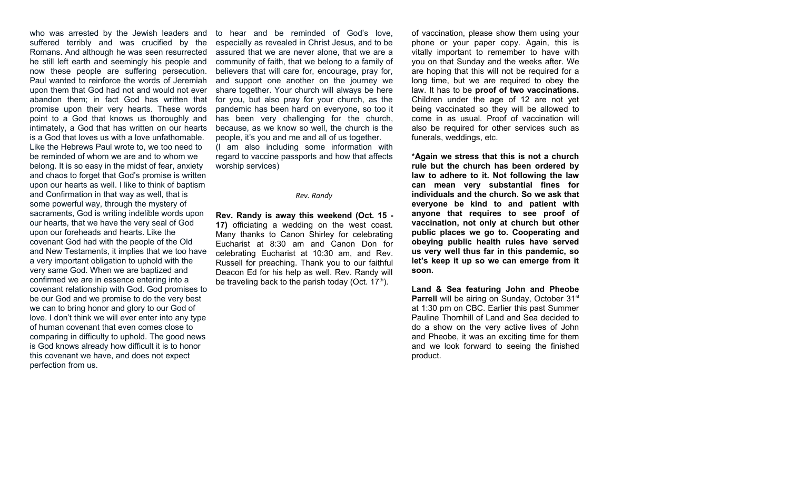who was arrested by the Jewish leaders and suffered terribly and was crucified by the Romans. And although he was seen resurrected he still left earth and seemingly his people and now these people are suffering persecution. Paul wanted to reinforce the words of Jeremiah upon them that God had not and would not ever abandon them; in fact God has written that promise upon their very hearts. These words point to a God that knows us thoroughly and intimately, a God that has written on our hearts is a God that loves us with a love unfathomable. Like the Hebrews Paul wrote to, we too need to be reminded of whom we are and to whom we belong. It is so easy in the midst of fear, anxiety and chaos to forget that God's promise is written upon our hearts as well. I like to think of baptism and Confirmation in that way as well, that is some powerful way, through the mystery of sacraments, God is writing indelible words upon our hearts, that we have the very seal of God upon our foreheads and hearts. Like the covenant God had with the people of the Old and New Testaments, it implies that we too have a very important obligation to uphold with the very same God. When we are baptized and confirmed we are in essence entering into a covenant relationship with God. God promises to be our God and we promise to do the very best we can to bring honor and glory to our God of love. I don't think we will ever enter into any type of human covenant that even comes close to comparing in difficulty to uphold. The good news is God knows already how difficult it is to honor this covenant we have, and does not expect perfection from us.

to hear and be reminded of God's love, especially as revealed in Christ Jesus, and to be assured that we are never alone, that we are a community of faith, that we belong to a family of believers that will care for, encourage, pray for, and support one another on the journey we share together. Your church will always be here for you, but also pray for your church, as the pandemic has been hard on everyone, so too it has been very challenging for the church, because, as we know so well, the church is the people, it's you and me and all of us together. (I am also including some information with regard to vaccine passports and how that affects worship services)

#### *Rev. Randy*

**Rev. Randy is away this weekend (Oct. 15 - 17)** officiating a wedding on the west coast. Many thanks to Canon Shirley for celebrating Eucharist at 8:30 am and Canon Don for celebrating Eucharist at 10:30 am, and Rev. Russell for preaching. Thank you to our faithful Deacon Ed for his help as well. Rev. Randy will be traveling back to the parish today (Oct.  $17<sup>th</sup>$ ).

of vaccination, please show them using your phone or your paper copy. Again, this is vitally important to remember to have with you on that Sunday and the weeks after. We are hoping that this will not be required for a long time, but we are required to obey the law. It has to be **proof of two vaccinations.** Children under the age of 12 are not yet being vaccinated so they will be allowed to come in as usual. Proof of vaccination will also be required for other services such as funerals, weddings, etc.

**\*Again we stress that this is not a church rule but the church has been ordered by law to adhere to it. Not following the law can mean very substantial fines for individuals and the church. So we ask that everyone be kind to and patient with anyone that requires to see proof of vaccination, not only at church but other public places we go to. Cooperating and obeying public health rules have served us very well thus far in this pandemic, so let's keep it up so we can emerge from it soon.**

**Land & Sea featuring John and Pheobe Parrell** will be airing on Sunday, October 31<sup>st</sup> at 1:30 pm on CBC. Earlier this past Summer Pauline Thornhill of Land and Sea decided to do a show on the very active lives of John and Pheobe, it was an exciting time for them and we look forward to seeing the finished product.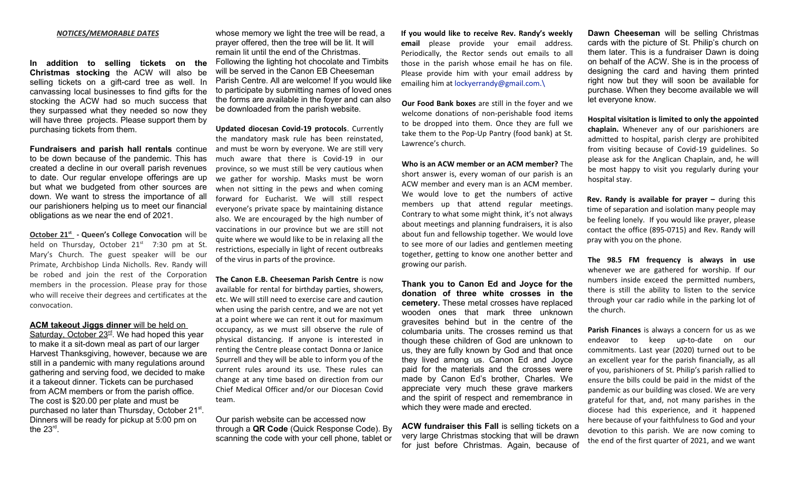#### *NOTICES/MEMORABLE DATES*

**In addition to selling tickets on the Christmas stocking** the ACW will also be selling tickets on a gift-card tree as well. In canvassing local businesses to find gifts for the stocking the ACW had so much success that they surpassed what they needed so now they will have three projects. Please support them by purchasing tickets from them.

**Fundraisers and parish hall rentals** continue to be down because of the pandemic. This has created a decline in our overall parish revenues to date. Our regular envelope offerings are up but what we budgeted from other sources are down. We want to stress the importance of all our parishioners helping us to meet our financial obligations as we near the end of 2021.

 **October 21st - Queen's College Convocation** will be held on Thursday, October  $21<sup>st</sup>$  7:30 pm at St. Mary's Church. The guest speaker will be our Primate, Archbishop Linda Nicholls. Rev. Randy will be robed and join the rest of the Corporation members in the procession. Please pray for those who will receive their degrees and certificates at the convocation.

#### **ACM takeout Jiggs dinner** will be held on

Saturday, October 23<sup>rd</sup>. We had hoped this year to make it a sit-down meal as part of our larger Harvest Thanksgiving, however, because we are still in a pandemic with many regulations around gathering and serving food, we decided to make it a takeout dinner. Tickets can be purchased from ACM members or from the parish office. The cost is \$20.00 per plate and must be purchased no later than Thursday, October 21<sup>st</sup>. Dinners will be ready for pickup at 5:00 pm on the 23rd .

whose memory we light the tree will be read, a prayer offered, then the tree will be lit. It will remain lit until the end of the Christmas. Following the lighting hot chocolate and Timbits will be served in the Canon EB Cheeseman Parish Centre. All are welcome! If you would like to participate by submitting names of loved ones the forms are available in the foyer and can also be downloaded from the parish website.

**Updated diocesan Covid-19 protocols**. Currently the mandatory mask rule has been reinstated, and must be worn by everyone. We are still very much aware that there is Covid-19 in our province, so we must still be very cautious when we gather for worship. Masks must be worn when not sitting in the pews and when coming forward for Eucharist. We will still respect everyone's private space by maintaining distance also. We are encouraged by the high number of vaccinations in our province but we are still not quite where we would like to be in relaxing all the restrictions, especially in light of recent outbreaks of the virus in parts of the province.

**The Canon E.B. Cheeseman Parish Centre** is now available for rental for birthday parties, showers, etc. We will still need to exercise care and caution when using the parish centre, and we are not yet at a point where we can rent it out for maximum occupancy, as we must sill observe the rule of physical distancing. If anyone is interested in renting the Centre please contact Donna or Janice Spurrell and they will be able to inform you of the current rules around its use. These rules can change at any time based on direction from our Chief Medical Officer and/or our Diocesan Covid team.

Our parish website can be accessed now through a **QR Code** (Quick Response Code). By scanning the code with your cell phone, tablet or

**If you would like to receive Rev. Randy's weekly email** please provide your email address. Periodically, the Rector sends out emails to all those in the parish whose email he has on file. Please provide him with your email address by emailing him at [lockyerrandy@gmail.com.\](mailto:lockyerrandy@gmail.com.%5C)

**Our Food Bank boxes** are still in the foyer and we welcome donations of non-perishable food items to be dropped into them. Once they are full we take them to the Pop-Up Pantry (food bank) at St. Lawrence's church.

**Who is an ACW member or an ACM member?** The short answer is, every woman of our parish is an ACW member and every man is an ACM member. We would love to get the numbers of active members up that attend regular meetings. Contrary to what some might think, it's not always about meetings and planning fundraisers, it is also about fun and fellowship together. We would love to see more of our ladies and gentlemen meeting together, getting to know one another better and growing our parish.

**Thank you to Canon Ed and Joyce for the donation of three white crosses in the cemetery.** These metal crosses have replaced wooden ones that mark three unknown gravesites behind but in the centre of the columbaria units. The crosses remind us that though these children of God are unknown to us, they are fully known by God and that once they lived among us. Canon Ed and Joyce paid for the materials and the crosses were made by Canon Ed's brother, Charles. We appreciate very much these grave markers and the spirit of respect and remembrance in which they were made and erected.

**ACW fundraiser this Fall** is selling tickets on a very large Christmas stocking that will be drawn for just before Christmas. Again, because of

**Dawn Cheeseman** will be selling Christmas cards with the picture of St. Philip's church on them later. This is a fundraiser Dawn is doing on behalf of the ACW. She is in the process of designing the card and having them printed right now but they will soon be available for purchase. When they become available we will let everyone know.

**Hospital visitation is limited to only the appointed chaplain.** Whenever any of our parishioners are admitted to hospital, parish clergy are prohibited from visiting because of Covid-19 guidelines. So please ask for the Anglican Chaplain, and, he will be most happy to visit you regularly during your hospital stay.

**Rev. Randy is available for prayer –** during this time of separation and isolation many people may be feeling lonely. If you would like prayer, please contact the office (895-0715) and Rev. Randy will pray with you on the phone.

**The 98.5 FM frequency is always in use** whenever we are gathered for worship. If our numbers inside exceed the permitted numbers, there is still the ability to listen to the service through your car radio while in the parking lot of the church.

**Parish Finances** is always a concern for us as we endeavor to keep up-to-date on our commitments. Last year (2020) turned out to be an excellent year for the parish financially, as all of you, parishioners of St. Philip's parish rallied to ensure the bills could be paid in the midst of the pandemic as our building was closed. We are very grateful for that, and, not many parishes in the diocese had this experience, and it happened here because of your faithfulness to God and your devotion to this parish. We are now coming to the end of the first quarter of 2021, and we want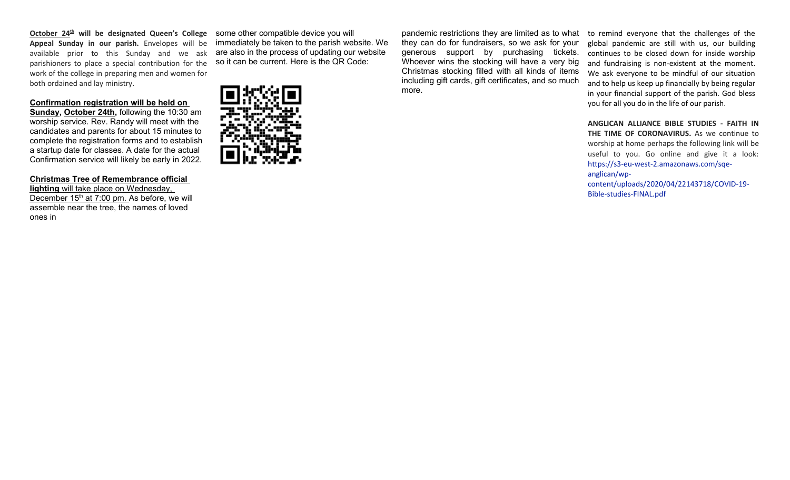**October 24th will be designated Queen's College** some other compatible device you will **Appeal Sunday in our parish.** Envelopes will be available prior to this Sunday and we ask parishioners to place a special contribution for the work of the college in preparing men and women for both ordained and lay ministry.

### **Confirmation registration will be held on**

**Sunday, October 24th,** following the 10:30 am worship service. Rev. Randy will meet with the candidates and parents for about 15 minutes to complete the registration forms and to establish a startup date for classes. A date for the actual Confirmation service will likely be early in 2022.

## **Christmas Tree of Remembrance official**

 **lighting** will take place on Wednesday, December 15<sup>th</sup> at 7:00 pm. As before, we will assemble near the tree, the names of loved ones in

immediately be taken to the parish website. We are also in the process of updating our website so it can be current. Here is the QR Code:



pandemic restrictions they are limited as to what they can do for fundraisers, so we ask for your generous support by purchasing tickets. Whoever wins the stocking will have a very big Christmas stocking filled with all kinds of items including gift cards, gift certificates, and so much more.

to remind everyone that the challenges of the global pandemic are still with us, our building continues to be closed down for inside worship and fundraising is non-existent at the moment. We ask everyone to be mindful of our situation and to help us keep up financially by being regular in your financial support of the parish. God bless you for all you do in the life of our parish.

**ANGLICAN ALLIANCE BIBLE STUDIES - FAITH IN THE TIME OF CORONAVIRUS.** As we continue to worship at home perhaps the following link will be useful to you. Go online and give it a look: [https://s3-eu-west-2.amazonaws.com/sqe](https://s3-eu-west-2.amazonaws.com/sqe-anglican/wp-content/uploads/2020/04/22143718/COVID-19-Bible-studies-FINAL.pdf)anglican/wp[content/uploads/2020/04/22143718/COVID-19-](https://s3-eu-west-2.amazonaws.com/sqe-anglican/wp-content/uploads/2020/04/22143718/COVID-19-Bible-studies-FINAL.pdf)

[Bible-studies-FINAL.pdf](https://s3-eu-west-2.amazonaws.com/sqe-anglican/wp-content/uploads/2020/04/22143718/COVID-19-Bible-studies-FINAL.pdf)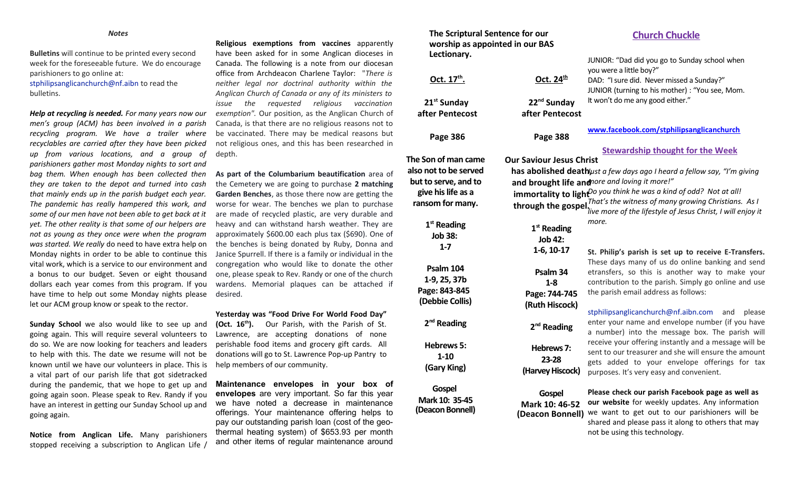**Bulletins** will continue to be printed every second week for the foreseeable future. We do encourage parishioners to go online at: [stphilipsanglicanchurch@nf.aibn](mailto:stphilipsanglicanchurch@nf.aibn) to read the

bulletins.

*Help at recycling is needed. For many years now our men's group (ACM) has been involved in a parish recycling program. We have a trailer where recyclables are carried after they have been picked up from various locations, and a group of parishioners gather most Monday nights to sort and bag them. When enough has been collected then they are taken to the depot and turned into cash that mainly ends up in the parish budget each year. The pandemic has really hampered this work, and some of our men have not been able to get back at it yet. The other reality is that some of our helpers are not as young as they once were when the program was started. We really* do need to have extra help on Monday nights in order to be able to continue this vital work, which is a service to our environment and a bonus to our budget. Seven or eight thousand dollars each year comes from this program. If you have time to help out some Monday nights please desired. let our ACM group know or speak to the rector.

**Sunday School** we also would like to see up and going again. This will require several volunteers to do so. We are now looking for teachers and leaders to help with this. The date we resume will not be known until we have our volunteers in place. This is help members of our community. a vital part of our parish life that got sidetracked during the pandemic, that we hope to get up and going again soon. Please speak to Rev. Randy if you have an interest in getting our Sunday School up and going again.

**Notice from Anglican Life.** Many parishioners stopped receiving a subscription to Anglican Life /

**Religious exemptions from vaccines** apparently have been asked for in some Anglican dioceses in Canada. The following is a note from our diocesan office from Archdeacon Charlene Taylor: "*There is neither legal nor doctrinal authority within the Anglican Church of Canada or any of its ministers to issue the requested religious vaccination exemption".* Our position, as the Anglican Church of Canada, is that there are no religious reasons not to be vaccinated. There may be medical reasons but not religious ones, and this has been researched in depth.

**As part of the Columbarium beautification** area of the Cemetery we are going to purchase **2 matching Garden Benches**, as those there now are getting the worse for wear. The benches we plan to purchase are made of recycled plastic, are very durable and heavy and can withstand harsh weather. They are approximately \$600.00 each plus tax (\$690). One of the benches is being donated by Ruby, Donna and Janice Spurrell. If there is a family or individual in the congregation who would like to donate the other one, please speak to Rev. Randy or one of the church wardens. Memorial plaques can be attached if

**Yesterday was "Food Drive For World Food Day" (Oct. 16th).** Our Parish, with the Parish of St. Lawrence, are accepting donations of none perishable food items and grocery gift cards. All donations will go to St. Lawrence Pop-up Pantry to

**Maintenance envelopes in your box of envelopes** are very important. So far this year we have noted a decrease in maintenance offerings. Your maintenance offering helps to pay our outstanding parish loan (cost of the geothermal heating system) of \$653.93 per month and other items of regular maintenance around

**The Scriptural Sentence for our worship as appointed in our BAS Lectionary.**

| LECUDIIAI Y.                                                                                         |                                                                                    | JUNIOR: "Dad did you go to Sunday school when                           |
|------------------------------------------------------------------------------------------------------|------------------------------------------------------------------------------------|-------------------------------------------------------------------------|
|                                                                                                      |                                                                                    | you were a little boy?"                                                 |
| Oct. 17 <sup>th</sup> .                                                                              | Oct. 24 <sup>th</sup>                                                              | DAD: "I sure did. Never missed a Sunday?"                               |
|                                                                                                      |                                                                                    | JUNIOR (turning to his mother) : "You see, Mom.                         |
| 21 <sup>st</sup> Sunday                                                                              | 22 <sup>nd</sup> Sunday                                                            | It won't do me any good either."                                        |
| after Pentecost                                                                                      | after Pentecost                                                                    |                                                                         |
|                                                                                                      |                                                                                    | www.facebook.com/stphilipsanglicanchurch                                |
| <b>Page 386</b>                                                                                      | <b>Page 388</b>                                                                    |                                                                         |
|                                                                                                      |                                                                                    | <b>Stewardship thought for the Week</b>                                 |
| The Son of man came                                                                                  | <b>Our Saviour Jesus Christ</b>                                                    |                                                                         |
| also not to be served                                                                                |                                                                                    | has abolished deathust a few days ago I heard a fellow say, "I'm giving |
|                                                                                                      | but to serve, and to<br>and brought life and nore and loving it more!"             |                                                                         |
| immortality to light <sup>Do</sup> you think he was a kind of odd? Not at all!<br>give his life as a |                                                                                    |                                                                         |
| ransom for many.                                                                                     | through the gospel. <sup>That's</sup> the witness of many growing Christians. As I |                                                                         |
|                                                                                                      |                                                                                    | live more of the lifestyle of Jesus Christ, I will enjoy it             |
| $1st$ Reading                                                                                        |                                                                                    | more.                                                                   |
| <b>Job 38:</b>                                                                                       | $1st$ Reading                                                                      |                                                                         |
| $1 - 7$                                                                                              | <b>Job 42:</b>                                                                     |                                                                         |
|                                                                                                      | $1-6, 10-17$                                                                       | St. Philip's parish is set up to receive E-Transfers.                   |
| Psalm 104                                                                                            |                                                                                    | These days many of us do online banking and send                        |
| 1-9, 25, 37b                                                                                         | Psalm 34                                                                           | etransfers, so this is another way to make your                         |
| Page: 843-845                                                                                        | $1 - 8$                                                                            | contribution to the parish. Simply go online and use                    |
| (Debbie Collis)                                                                                      | Page: 744-745                                                                      | the parish email address as follows:                                    |
|                                                                                                      | (Ruth Hiscock)                                                                     | stphilipsanglicanchurch@nf.aibn.com<br>and<br>please                    |
| $2nd$ Reading                                                                                        |                                                                                    | enter your name and envelope number (if you have                        |
|                                                                                                      | $2nd$ Reading                                                                      | a number) into the message box. The parish will                         |
| <b>Hebrews 5:</b>                                                                                    |                                                                                    | receive your offering instantly and a message will be                   |
| $1 - 10$                                                                                             | Hebrews 7:                                                                         | sent to our treasurer and she will ensure the amount                    |
|                                                                                                      | 23-28                                                                              | gets added to your envelope offerings for tax                           |
| (Gary King)                                                                                          | (Harvey Hiscock)                                                                   | purposes. It's very easy and convenient.                                |
| Gospel                                                                                               |                                                                                    |                                                                         |
| Mark 10: 35-45                                                                                       | Gospel                                                                             | Please check our parish Facebook page as well as                        |
| (Deacon Bonnell)                                                                                     | Mark 10: 46-52                                                                     | our website for weekly updates. Any information                         |
|                                                                                                      | (Deacon Bonnell)                                                                   | we want to get out to our parishioners will be                          |
|                                                                                                      |                                                                                    | shared and please pass it along to others that may                      |
|                                                                                                      |                                                                                    | not be using this technology.                                           |

## **Church Chuckle**